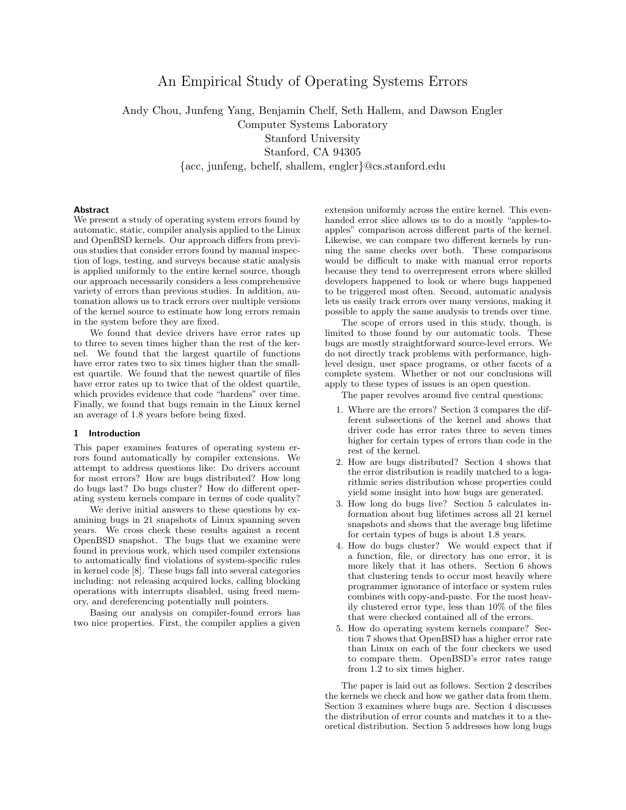# An Empirical Study of Operating Systems Errors

Andy Chou, Junfeng Yang, Benjamin Chelf, Seth Hallem, and Dawson Engler Computer Systems Laboratory Stanford University Stanford, CA 94305 {acc, junfeng, bchelf, shallem, engler}@cs.stanford.edu

# Abstract

We present a study of operating system errors found by automatic, static, compiler analysis applied to the Linux and OpenBSD kernels. Our approach differs from previous studies that consider errors found by manual inspection of logs, testing, and surveys because static analysis is applied uniformly to the entire kernel source, though our approach necessarily considers a less comprehensive variety of errors than previous studies. In addition, automation allows us to track errors over multiple versions of the kernel source to estimate how long errors remain in the system before they are fixed.

We found that device drivers have error rates up to three to seven times higher than the rest of the kernel. We found that the largest quartile of functions have error rates two to six times higher than the smallest quartile. We found that the newest quartile of files have error rates up to twice that of the oldest quartile, which provides evidence that code "hardens" over time. Finally, we found that bugs remain in the Linux kernel an average of 1.8 years before being fixed.

### 1 Introduction

This paper examines features of operating system errors found automatically by compiler extensions. We attempt to address questions like: Do drivers account for most errors? How are bugs distributed? How long do bugs last? Do bugs cluster? How do different operating system kernels compare in terms of code quality?

We derive initial answers to these questions by examining bugs in 21 snapshots of Linux spanning seven years. We cross check these results against a recent OpenBSD snapshot. The bugs that we examine were found in previous work, which used compiler extensions to automatically find violations of system-specific rules in kernel code [8]. These bugs fall into several categories including: not releasing acquired locks, calling blocking operations with interrupts disabled, using freed memory, and dereferencing potentially null pointers.

Basing our analysis on compiler-found errors has two nice properties. First, the compiler applies a given

extension uniformly across the entire kernel. This evenhanded error slice allows us to do a mostly "apples-toapples" comparison across different parts of the kernel. Likewise, we can compare two different kernels by running the same checks over both. These comparisons would be difficult to make with manual error reports because they tend to overrepresent errors where skilled developers happened to look or where bugs happened to be triggered most often. Second, automatic analysis lets us easily track errors over many versions, making it possible to apply the same analysis to trends over time.

The scope of errors used in this study, though, is limited to those found by our automatic tools. These bugs are mostly straightforward source-level errors. We do not directly track problems with performance, highlevel design, user space programs, or other facets of a complete system. Whether or not our conclusions will apply to these types of issues is an open question.

The paper revolves around five central questions:

- 1. Where are the errors? Section 3 compares the different subsections of the kernel and shows that driver code has error rates three to seven times higher for certain types of errors than code in the rest of the kernel.
- 2. How are bugs distributed? Section 4 shows that the error distribution is readily matched to a logarithmic series distribution whose properties could yield some insight into how bugs are generated.
- 3. How long do bugs live? Section 5 calculates information about bug lifetimes across all 21 kernel snapshots and shows that the average bug lifetime for certain types of bugs is about 1.8 years.
- 4. How do bugs cluster? We would expect that if a function, file, or directory has one error, it is more likely that it has others. Section 6 shows that clustering tends to occur most heavily where programmer ignorance of interface or system rules combines with copy-and-paste. For the most heavily clustered error type, less than 10% of the files that were checked contained all of the errors.
- 5. How do operating system kernels compare? Section 7 shows that OpenBSD has a higher error rate than Linux on each of the four checkers we used to compare them. OpenBSD's error rates range from 1.2 to six times higher.

The paper is laid out as follows. Section 2 describes the kernels we check and how we gather data from them. Section 3 examines where bugs are. Section 4 discusses the distribution of error counts and matches it to a theoretical distribution. Section 5 addresses how long bugs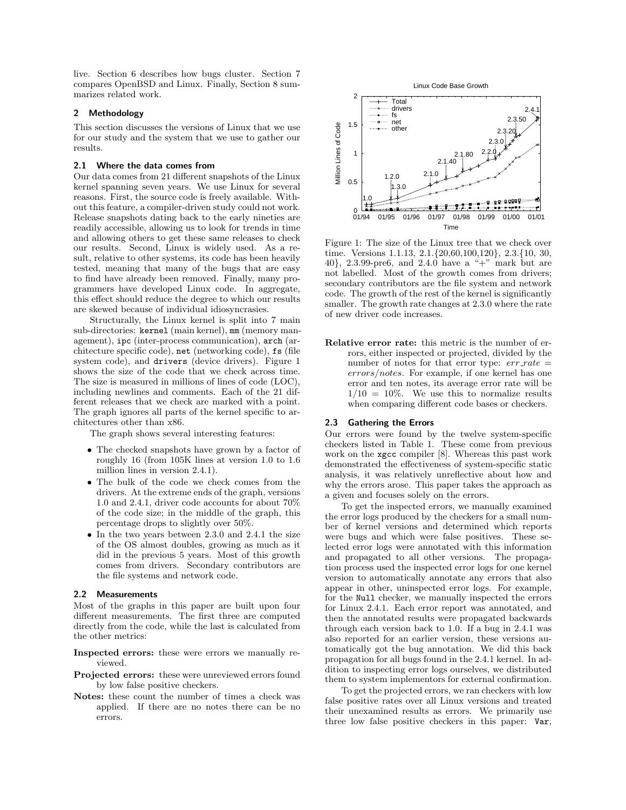live. Section 6 describes how bugs cluster. Section 7 compares OpenBSD and Linux. Finally, Section 8 summarizes related work.

# 2 Methodology

This section discusses the versions of Linux that we use for our study and the system that we use to gather our results.

## 2.1 Where the data comes from

Our data comes from 21 different snapshots of the Linux kernel spanning seven years. We use Linux for several reasons. First, the source code is freely available. Without this feature, a compiler-driven study could not work. Release snapshots dating back to the early nineties are readily accessible, allowing us to look for trends in time and allowing others to get these same releases to check our results. Second, Linux is widely used. As a result, relative to other systems, its code has been heavily tested, meaning that many of the bugs that are easy to find have already been removed. Finally, many programmers have developed Linux code. In aggregate, this effect should reduce the degree to which our results are skewed because of individual idiosyncrasies.

Structurally, the Linux kernel is split into 7 main sub-directories: kernel (main kernel), mm (memory management), ipc (inter-process communication), arch (architecture specific code), net (networking code), fs (file system code), and drivers (device drivers). Figure 1 shows the size of the code that we check across time. The size is measured in millions of lines of code (LOC), including newlines and comments. Each of the 21 different releases that we check are marked with a point. The graph ignores all parts of the kernel specific to architectures other than x86.

The graph shows several interesting features:

- The checked snapshots have grown by a factor of roughly 16 (from 105K lines at version 1.0 to 1.6 million lines in version 2.4.1).
- The bulk of the code we check comes from the drivers. At the extreme ends of the graph, versions 1.0 and 2.4.1, driver code accounts for about 70% of the code size; in the middle of the graph, this percentage drops to slightly over 50%.
- In the two years between 2.3.0 and 2.4.1 the size of the OS almost doubles, growing as much as it did in the previous 5 years. Most of this growth comes from drivers. Secondary contributors are the file systems and network code.

## 2.2 Measurements

Most of the graphs in this paper are built upon four different measurements. The first three are computed directly from the code, while the last is calculated from the other metrics:

Inspected errors: these were errors we manually reviewed.

- Projected errors: these were unreviewed errors found by low false positive checkers.
- Notes: these count the number of times a check was applied. If there are no notes there can be no errors.





Figure 1: The size of the Linux tree that we check over time. Versions 1.1.13, 2.1.{20,60,100,120}, 2.3.{10, 30, 40}, 2.3.99-pre6, and 2.4.0 have a "+" mark but are not labelled. Most of the growth comes from drivers; secondary contributors are the file system and network code. The growth of the rest of the kernel is significantly smaller. The growth rate changes at 2.3.0 where the rate of new driver code increases.

Relative error rate: this metric is the number of errors, either inspected or projected, divided by the number of notes for that error type:  $err\_rate =$ errors/notes. For example, if one kernel has one error and ten notes, its average error rate will be  $1/10 = 10\%$ . We use this to normalize results when comparing different code bases or checkers.

#### 2.3 Gathering the Errors

Our errors were found by the twelve system-specific checkers listed in Table 1. These come from previous work on the xgcc compiler [8]. Whereas this past work demonstrated the effectiveness of system-specific static analysis, it was relatively unreflective about how and why the errors arose. This paper takes the approach as a given and focuses solely on the errors.

To get the inspected errors, we manually examined the error logs produced by the checkers for a small number of kernel versions and determined which reports were bugs and which were false positives. These selected error logs were annotated with this information and propagated to all other versions. The propagation process used the inspected error logs for one kernel version to automatically annotate any errors that also appear in other, uninspected error logs. For example, for the Null checker, we manually inspected the errors for Linux 2.4.1. Each error report was annotated, and then the annotated results were propagated backwards through each version back to 1.0. If a bug in 2.4.1 was also reported for an earlier version, these versions automatically got the bug annotation. We did this back propagation for all bugs found in the 2.4.1 kernel. In addition to inspecting error logs ourselves, we distributed them to system implementors for external confirmation.

To get the projected errors, we ran checkers with low false positive rates over all Linux versions and treated their unexamined results as errors. We primarily use three low false positive checkers in this paper: Var,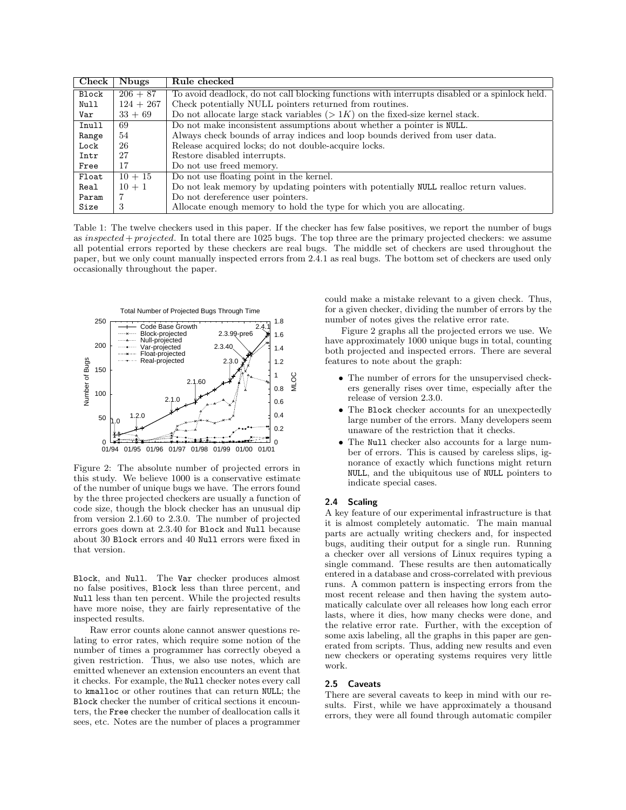| ${\bf Check}$ | Nbugs       | Rule checked                                                                                   |  |  |  |
|---------------|-------------|------------------------------------------------------------------------------------------------|--|--|--|
| Block         | $206 + 87$  | To avoid deadlock, do not call blocking functions with interrupts disabled or a spinlock held. |  |  |  |
| Null          | $124 + 267$ | Check potentially NULL pointers returned from routines.                                        |  |  |  |
| Var           | $33 + 69$   | Do not allocate large stack variables $(> 1K)$ on the fixed-size kernel stack.                 |  |  |  |
| Inull         | 69          | Do not make inconsistent assumptions about whether a pointer is NULL.                          |  |  |  |
| Range         | 54          | Always check bounds of array indices and loop bounds derived from user data.                   |  |  |  |
| Lock          | 26          | Release acquired locks; do not double-acquire locks.                                           |  |  |  |
| Intr          | 27          | Restore disabled interrupts.                                                                   |  |  |  |
| Free          | 17          | Do not use freed memory.                                                                       |  |  |  |
| Float         | $10 + 15$   | Do not use floating point in the kernel.                                                       |  |  |  |
| Real          | $10 + 1$    | Do not leak memory by updating pointers with potentially NULL realloc return values.           |  |  |  |
| Param         |             | Do not dereference user pointers.                                                              |  |  |  |
| Size          | 3           | Allocate enough memory to hold the type for which you are allocating.                          |  |  |  |

Table 1: The twelve checkers used in this paper. If the checker has few false positives, we report the number of bugs as inspected + projected. In total there are 1025 bugs. The top three are the primary projected checkers: we assume all potential errors reported by these checkers are real bugs. The middle set of checkers are used throughout the paper, but we only count manually inspected errors from 2.4.1 as real bugs. The bottom set of checkers are used only occasionally throughout the paper.



Figure 2: The absolute number of projected errors in this study. We believe 1000 is a conservative estimate of the number of unique bugs we have. The errors found by the three projected checkers are usually a function of code size, though the block checker has an unusual dip from version 2.1.60 to 2.3.0. The number of projected errors goes down at 2.3.40 for Block and Null because about 30 Block errors and 40 Null errors were fixed in that version.

Block, and Null. The Var checker produces almost no false positives, Block less than three percent, and Null less than ten percent. While the projected results have more noise, they are fairly representative of the inspected results.

Raw error counts alone cannot answer questions relating to error rates, which require some notion of the number of times a programmer has correctly obeyed a given restriction. Thus, we also use notes, which are emitted whenever an extension encounters an event that it checks. For example, the Null checker notes every call to kmalloc or other routines that can return NULL; the Block checker the number of critical sections it encounters, the Free checker the number of deallocation calls it sees, etc. Notes are the number of places a programmer

could make a mistake relevant to a given check. Thus, for a given checker, dividing the number of errors by the number of notes gives the relative error rate.

Figure 2 graphs all the projected errors we use. We have approximately 1000 unique bugs in total, counting both projected and inspected errors. There are several features to note about the graph:

- The number of errors for the unsupervised checkers generally rises over time, especially after the release of version 2.3.0.
- The Block checker accounts for an unexpectedly large number of the errors. Many developers seem unaware of the restriction that it checks.
- The Null checker also accounts for a large number of errors. This is caused by careless slips, ignorance of exactly which functions might return NULL, and the ubiquitous use of NULL pointers to indicate special cases.

### 2.4 Scaling

A key feature of our experimental infrastructure is that it is almost completely automatic. The main manual parts are actually writing checkers and, for inspected bugs, auditing their output for a single run. Running a checker over all versions of Linux requires typing a single command. These results are then automatically entered in a database and cross-correlated with previous runs. A common pattern is inspecting errors from the most recent release and then having the system automatically calculate over all releases how long each error lasts, where it dies, how many checks were done, and the relative error rate. Further, with the exception of some axis labeling, all the graphs in this paper are generated from scripts. Thus, adding new results and even new checkers or operating systems requires very little work.

## 2.5 Caveats

There are several caveats to keep in mind with our results. First, while we have approximately a thousand errors, they were all found through automatic compiler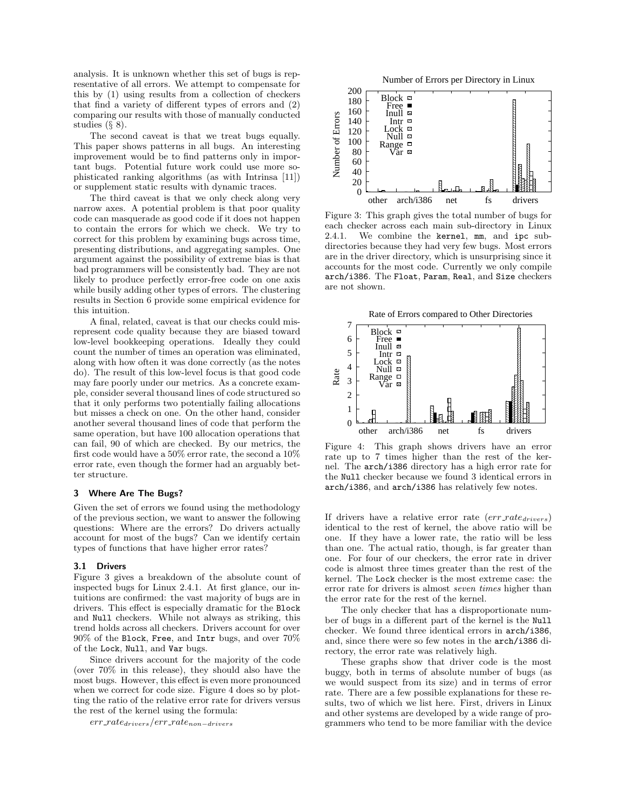analysis. It is unknown whether this set of bugs is representative of all errors. We attempt to compensate for this by (1) using results from a collection of checkers that find a variety of different types of errors and (2) comparing our results with those of manually conducted studies  $(\S 8)$ .

The second caveat is that we treat bugs equally. This paper shows patterns in all bugs. An interesting improvement would be to find patterns only in important bugs. Potential future work could use more sophisticated ranking algorithms (as with Intrinsa [11]) or supplement static results with dynamic traces.

The third caveat is that we only check along very narrow axes. A potential problem is that poor quality code can masquerade as good code if it does not happen to contain the errors for which we check. We try to correct for this problem by examining bugs across time, presenting distributions, and aggregating samples. One argument against the possibility of extreme bias is that bad programmers will be consistently bad. They are not likely to produce perfectly error-free code on one axis while busily adding other types of errors. The clustering results in Section 6 provide some empirical evidence for this intuition.

A final, related, caveat is that our checks could misrepresent code quality because they are biased toward low-level bookkeeping operations. Ideally they could count the number of times an operation was eliminated, along with how often it was done correctly (as the notes do). The result of this low-level focus is that good code may fare poorly under our metrics. As a concrete example, consider several thousand lines of code structured so that it only performs two potentially failing allocations but misses a check on one. On the other hand, consider another several thousand lines of code that perform the same operation, but have 100 allocation operations that can fail, 90 of which are checked. By our metrics, the first code would have a 50% error rate, the second a 10% error rate, even though the former had an arguably better structure.

# 3 Where Are The Bugs?

Given the set of errors we found using the methodology of the previous section, we want to answer the following questions: Where are the errors? Do drivers actually account for most of the bugs? Can we identify certain types of functions that have higher error rates?

#### 3.1 Drivers

Figure 3 gives a breakdown of the absolute count of inspected bugs for Linux 2.4.1. At first glance, our intuitions are confirmed: the vast majority of bugs are in drivers. This effect is especially dramatic for the Block and Null checkers. While not always as striking, this trend holds across all checkers. Drivers account for over 90% of the Block, Free, and Intr bugs, and over 70% of the Lock, Null, and Var bugs.

Since drivers account for the majority of the code (over 70% in this release), they should also have the most bugs. However, this effect is even more pronounced when we correct for code size. Figure 4 does so by plotting the ratio of the relative error rate for drivers versus the rest of the kernel using the formula:

err ratedrivers/err ratenon−drivers



Figure 3: This graph gives the total number of bugs for each checker across each main sub-directory in Linux 2.4.1. We combine the kernel, mm, and ipc subdirectories because they had very few bugs. Most errors are in the driver directory, which is unsurprising since it accounts for the most code. Currently we only compile arch/i386. The Float, Param, Real, and Size checkers are not shown.





Figure 4: This graph shows drivers have an error rate up to 7 times higher than the rest of the kernel. The arch/i386 directory has a high error rate for the Null checker because we found 3 identical errors in arch/i386, and arch/i386 has relatively few notes.

If drivers have a relative error rate  $(err\_rate_{drivers})$ identical to the rest of kernel, the above ratio will be one. If they have a lower rate, the ratio will be less than one. The actual ratio, though, is far greater than one. For four of our checkers, the error rate in driver code is almost three times greater than the rest of the kernel. The Lock checker is the most extreme case: the error rate for drivers is almost seven times higher than the error rate for the rest of the kernel.

The only checker that has a disproportionate number of bugs in a different part of the kernel is the Null checker. We found three identical errors in arch/i386, and, since there were so few notes in the arch/i386 directory, the error rate was relatively high.

These graphs show that driver code is the most buggy, both in terms of absolute number of bugs (as we would suspect from its size) and in terms of error rate. There are a few possible explanations for these results, two of which we list here. First, drivers in Linux and other systems are developed by a wide range of programmers who tend to be more familiar with the device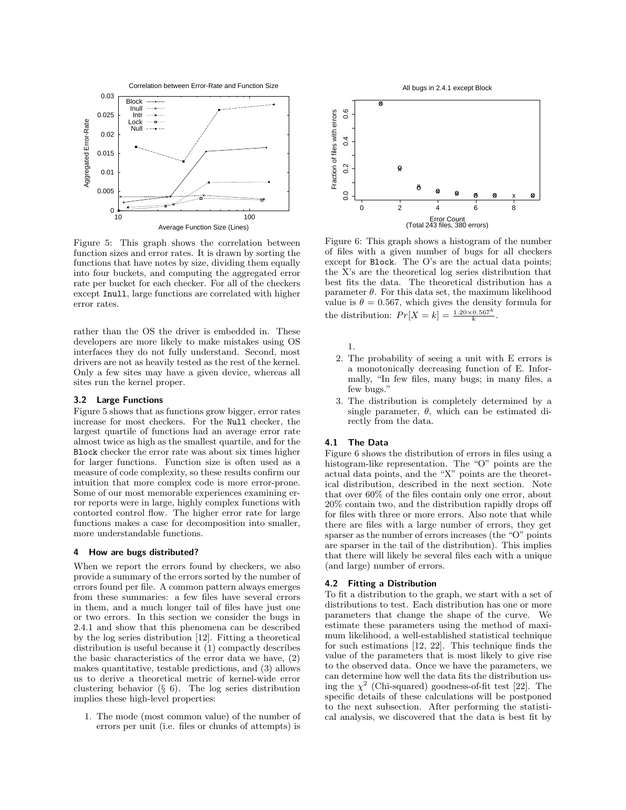

Figure 5: This graph shows the correlation between function sizes and error rates. It is drawn by sorting the functions that have notes by size, dividing them equally into four buckets, and computing the aggregated error rate per bucket for each checker. For all of the checkers except Inull, large functions are correlated with higher error rates.

rather than the OS the driver is embedded in. These developers are more likely to make mistakes using OS interfaces they do not fully understand. Second, most drivers are not as heavily tested as the rest of the kernel. Only a few sites may have a given device, whereas all sites run the kernel proper.

#### 3.2 Large Functions

Figure 5 shows that as functions grow bigger, error rates increase for most checkers. For the Null checker, the largest quartile of functions had an average error rate almost twice as high as the smallest quartile, and for the Block checker the error rate was about six times higher for larger functions. Function size is often used as a measure of code complexity, so these results confirm our intuition that more complex code is more error-prone. Some of our most memorable experiences examining error reports were in large, highly complex functions with contorted control flow. The higher error rate for large functions makes a case for decomposition into smaller, more understandable functions.

#### 4 How are bugs distributed?

When we report the errors found by checkers, we also provide a summary of the errors sorted by the number of errors found per file. A common pattern always emerges from these summaries: a few files have several errors in them, and a much longer tail of files have just one or two errors. In this section we consider the bugs in 2.4.1 and show that this phenomena can be described by the log series distribution [12]. Fitting a theoretical distribution is useful because it (1) compactly describes the basic characteristics of the error data we have, (2) makes quantitative, testable predictions, and (3) allows us to derive a theoretical metric of kernel-wide error clustering behavior (§ 6). The log series distribution implies these high-level properties:

1. The mode (most common value) of the number of errors per unit (i.e. files or chunks of attempts) is



Figure 6: This graph shows a histogram of the number of files with a given number of bugs for all checkers except for Block. The O's are the actual data points; the X's are the theoretical log series distribution that best fits the data. The theoretical distribution has a parameter  $\theta$ . For this data set, the maximum likelihood value is  $\theta = 0.567$ , which gives the density formula for the distribution:  $Pr[X = k] = \frac{1.20 \times 0.567^k}{k}$ .

1.

- 2. The probability of seeing a unit with E errors is a monotonically decreasing function of E. Informally, "In few files, many bugs; in many files, a few bugs."
- 3. The distribution is completely determined by a single parameter,  $\theta$ , which can be estimated directly from the data.

#### 4.1 The Data

Figure 6 shows the distribution of errors in files using a histogram-like representation. The "O" points are the actual data points, and the "X" points are the theoretical distribution, described in the next section. Note that over 60% of the files contain only one error, about 20% contain two, and the distribution rapidly drops off for files with three or more errors. Also note that while there are files with a large number of errors, they get sparser as the number of errors increases (the "O" points are sparser in the tail of the distribution). This implies that there will likely be several files each with a unique (and large) number of errors.

# 4.2 Fitting a Distribution

To fit a distribution to the graph, we start with a set of distributions to test. Each distribution has one or more parameters that change the shape of the curve. We estimate these parameters using the method of maximum likelihood, a well-established statistical technique for such estimations [12, 22]. This technique finds the value of the parameters that is most likely to give rise to the observed data. Once we have the parameters, we can determine how well the data fits the distribution using the  $\chi^2$  (Chi-squared) goodness-of-fit test [22]. The specific details of these calculations will be postponed to the next subsection. After performing the statistical analysis, we discovered that the data is best fit by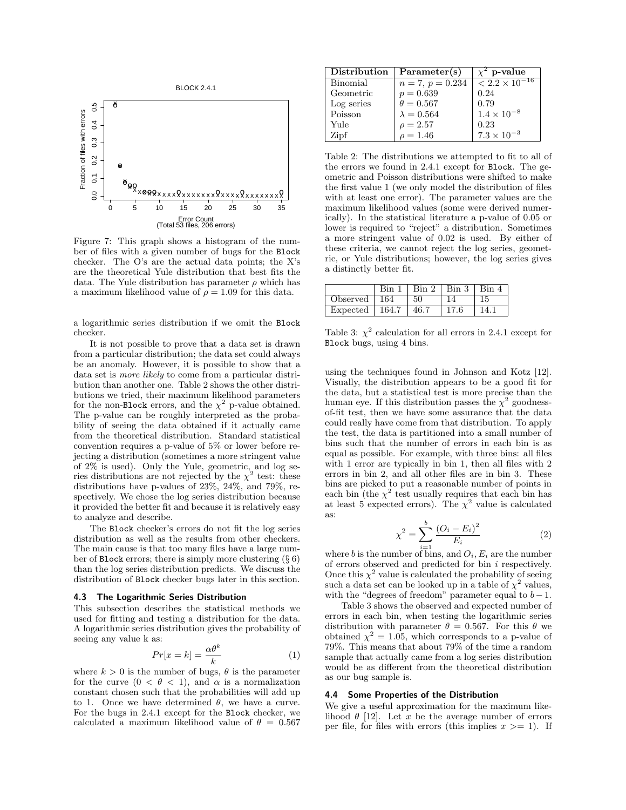

Figure 7: This graph shows a histogram of the number of files with a given number of bugs for the Block checker. The O's are the actual data points; the X's are the theoretical Yule distribution that best fits the data. The Yule distribution has parameter  $\rho$  which has a maximum likelihood value of  $\rho = 1.09$  for this data.

a logarithmic series distribution if we omit the Block checker.

It is not possible to prove that a data set is drawn from a particular distribution; the data set could always be an anomaly. However, it is possible to show that a data set is more likely to come from a particular distribution than another one. Table 2 shows the other distributions we tried, their maximum likelihood parameters for the non-Block errors, and the  $\chi^2$  p-value obtained. The p-value can be roughly interpreted as the probability of seeing the data obtained if it actually came from the theoretical distribution. Standard statistical convention requires a p-value of 5% or lower before rejecting a distribution (sometimes a more stringent value of 2% is used). Only the Yule, geometric, and log series distributions are not rejected by the  $\chi^2$  test: these distributions have p-values of 23%, 24%, and 79%, respectively. We chose the log series distribution because it provided the better fit and because it is relatively easy to analyze and describe.

The Block checker's errors do not fit the log series distribution as well as the results from other checkers. The main cause is that too many files have a large number of Block errors; there is simply more clustering  $(\S 6)$ than the log series distribution predicts. We discuss the distribution of Block checker bugs later in this section.

#### 4.3 The Logarithmic Series Distribution

This subsection describes the statistical methods we used for fitting and testing a distribution for the data. A logarithmic series distribution gives the probability of seeing any value k as:

$$
Pr[x = k] = \frac{\alpha \theta^k}{k} \tag{1}
$$

where  $k > 0$  is the number of bugs,  $\theta$  is the parameter for the curve  $(0 < \theta < 1)$ , and  $\alpha$  is a normalization constant chosen such that the probabilities will add up to 1. Once we have determined  $\theta$ , we have a curve. For the bugs in 2.4.1 except for the Block checker, we calculated a maximum likelihood value of  $\theta = 0.567$ 

| Distribution | Parameter(s)       | p-value                 |
|--------------|--------------------|-------------------------|
| Binomial     | $n = 7, p = 0.234$ | $< 2.2 \times 10^{-16}$ |
| Geometric    | $p = 0.639$        | 0.24                    |
| Log series   | $\theta = 0.567$   | 0.79                    |
| Poisson      | $\lambda = 0.564$  | $1.4 \times 10^{-8}$    |
| Yule         | $\rho = 2.57$      | 0.23                    |
| Zipf         | $\rho = 1.46$      | $7.3 \times 10^{-3}$    |

Table 2: The distributions we attempted to fit to all of the errors we found in 2.4.1 except for Block. The geometric and Poisson distributions were shifted to make the first value 1 (we only model the distribution of files with at least one error). The parameter values are the maximum likelihood values (some were derived numerically). In the statistical literature a p-value of 0.05 or lower is required to "reject" a distribution. Sometimes a more stringent value of 0.02 is used. By either of these criteria, we cannot reject the log series, geometric, or Yule distributions; however, the log series gives a distinctly better fit.

|                         |     | Bin 1   Bin 2   Bin 3   Bin 4 |       |
|-------------------------|-----|-------------------------------|-------|
| Observed $\sqrt{164}$   | -50 |                               |       |
| Expected   164.7   46.7 |     | 17.6                          | -14.1 |

Table 3:  $\chi^2$  calculation for all errors in 2.4.1 except for Block bugs, using 4 bins.

using the techniques found in Johnson and Kotz [12]. Visually, the distribution appears to be a good fit for the data, but a statistical test is more precise than the human eye. If this distribution passes the  $\chi^2$  goodnessof-fit test, then we have some assurance that the data could really have come from that distribution. To apply the test, the data is partitioned into a small number of bins such that the number of errors in each bin is as equal as possible. For example, with three bins: all files with 1 error are typically in bin 1, then all files with 2 errors in bin 2, and all other files are in bin 3. These bins are picked to put a reasonable number of points in each bin (the  $\chi^2$  test usually requires that each bin has at least 5 expected errors). The  $\chi^2$  value is calculated as:

$$
\chi^2 = \sum_{i=1}^{b} \frac{(O_i - E_i)^2}{E_i} \tag{2}
$$

where b is the number of bins, and  $O_i$ ,  $E_i$  are the number of errors observed and predicted for bin i respectively. Once this  $\chi^2$  value is calculated the probability of seeing such a data set can be looked up in a table of  $\chi^2$  values, with the "degrees of freedom" parameter equal to  $b-1$ .

Table 3 shows the observed and expected number of errors in each bin, when testing the logarithmic series distribution with parameter  $\theta = 0.567$ . For this  $\theta$  we obtained  $\chi^2 = 1.05$ , which corresponds to a p-value of 79%. This means that about 79% of the time a random sample that actually came from a log series distribution would be as different from the theoretical distribution as our bug sample is.

# 4.4 Some Properties of the Distribution

We give a useful approximation for the maximum likelihood  $\theta$  [12]. Let x be the average number of errors per file, for files with errors (this implies  $x \geq 1$ ). If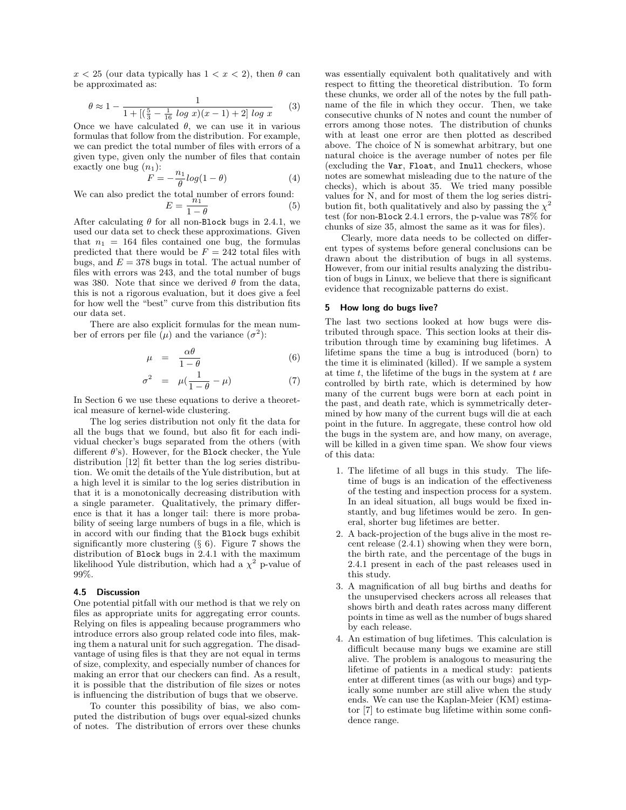$x < 25$  (our data typically has  $1 < x < 2$ ), then  $\theta$  can be approximated as:

$$
\theta \approx 1 - \frac{1}{1 + \left[ \left( \frac{5}{3} - \frac{1}{16} \log x \right) (x - 1) + 2 \right] \log x} \tag{3}
$$

Once we have calculated  $\theta$ , we can use it in various formulas that follow from the distribution. For example, we can predict the total number of files with errors of a given type, given only the number of files that contain exactly one bug  $(n_1)$ :

$$
F = -\frac{n_1}{\theta} \log(1 - \theta) \tag{4}
$$

We can also predict the total number of errors found:

$$
E = \frac{n_1}{1 - \theta} \tag{5}
$$

After calculating  $\theta$  for all non-Block bugs in 2.4.1, we used our data set to check these approximations. Given that  $n_1 = 164$  files contained one bug, the formulas predicted that there would be  $F = 242$  total files with bugs, and  $E = 378$  bugs in total. The actual number of files with errors was 243, and the total number of bugs was 380. Note that since we derived  $\theta$  from the data, this is not a rigorous evaluation, but it does give a feel for how well the "best" curve from this distribution fits our data set.

There are also explicit formulas for the mean number of errors per file  $(\mu)$  and the variance  $(\sigma^2)$ :

$$
\mu = \frac{\alpha \theta}{1 - \theta} \tag{6}
$$

$$
\sigma^2 = \mu(\frac{1}{1-\theta} - \mu) \tag{7}
$$

In Section 6 we use these equations to derive a theoretical measure of kernel-wide clustering.

The log series distribution not only fit the data for all the bugs that we found, but also fit for each individual checker's bugs separated from the others (with different  $\theta$ 's). However, for the Block checker, the Yule distribution [12] fit better than the log series distribution. We omit the details of the Yule distribution, but at a high level it is similar to the log series distribution in that it is a monotonically decreasing distribution with a single parameter. Qualitatively, the primary difference is that it has a longer tail: there is more probability of seeing large numbers of bugs in a file, which is in accord with our finding that the Block bugs exhibit significantly more clustering  $(\S 6)$ . Figure 7 shows the distribution of Block bugs in 2.4.1 with the maximum likelihood Yule distribution, which had a  $\chi^2$  p-value of 99%.

#### 4.5 Discussion

One potential pitfall with our method is that we rely on files as appropriate units for aggregating error counts. Relying on files is appealing because programmers who introduce errors also group related code into files, making them a natural unit for such aggregation. The disadvantage of using files is that they are not equal in terms of size, complexity, and especially number of chances for making an error that our checkers can find. As a result, it is possible that the distribution of file sizes or notes is influencing the distribution of bugs that we observe.

To counter this possibility of bias, we also computed the distribution of bugs over equal-sized chunks of notes. The distribution of errors over these chunks was essentially equivalent both qualitatively and with respect to fitting the theoretical distribution. To form these chunks, we order all of the notes by the full pathname of the file in which they occur. Then, we take consecutive chunks of N notes and count the number of errors among those notes. The distribution of chunks with at least one error are then plotted as described above. The choice of N is somewhat arbitrary, but one natural choice is the average number of notes per file (excluding the Var, Float, and Inull checkers, whose notes are somewhat misleading due to the nature of the checks), which is about 35. We tried many possible values for N, and for most of them the log series distribution fit, both qualitatively and also by passing the  $\chi^2$ test (for non-Block 2.4.1 errors, the p-value was 78% for chunks of size 35, almost the same as it was for files).

Clearly, more data needs to be collected on different types of systems before general conclusions can be drawn about the distribution of bugs in all systems. However, from our initial results analyzing the distribution of bugs in Linux, we believe that there is significant evidence that recognizable patterns do exist.

## 5 How long do bugs live?

The last two sections looked at how bugs were distributed through space. This section looks at their distribution through time by examining bug lifetimes. A lifetime spans the time a bug is introduced (born) to the time it is eliminated (killed). If we sample a system at time  $t$ , the lifetime of the bugs in the system at  $t$  are controlled by birth rate, which is determined by how many of the current bugs were born at each point in the past, and death rate, which is symmetrically determined by how many of the current bugs will die at each point in the future. In aggregate, these control how old the bugs in the system are, and how many, on average, will be killed in a given time span. We show four views of this data:

- 1. The lifetime of all bugs in this study. The lifetime of bugs is an indication of the effectiveness of the testing and inspection process for a system. In an ideal situation, all bugs would be fixed instantly, and bug lifetimes would be zero. In general, shorter bug lifetimes are better.
- 2. A back-projection of the bugs alive in the most recent release (2.4.1) showing when they were born, the birth rate, and the percentage of the bugs in 2.4.1 present in each of the past releases used in this study.
- 3. A magnification of all bug births and deaths for the unsupervised checkers across all releases that shows birth and death rates across many different points in time as well as the number of bugs shared by each release.
- 4. An estimation of bug lifetimes. This calculation is difficult because many bugs we examine are still alive. The problem is analogous to measuring the lifetime of patients in a medical study: patients enter at different times (as with our bugs) and typically some number are still alive when the study ends. We can use the Kaplan-Meier (KM) estimator [7] to estimate bug lifetime within some confidence range.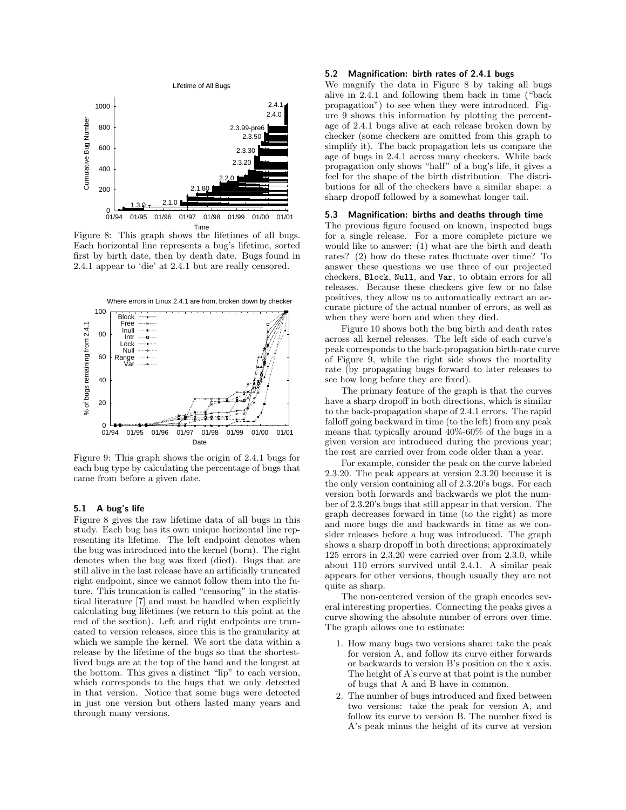

Figure 8: This graph shows the lifetimes of all bugs. Each horizontal line represents a bug's lifetime, sorted first by birth date, then by death date. Bugs found in 2.4.1 appear to 'die' at 2.4.1 but are really censored.



Figure 9: This graph shows the origin of 2.4.1 bugs for each bug type by calculating the percentage of bugs that came from before a given date.

# 5.1 A bug's life

Figure 8 gives the raw lifetime data of all bugs in this study. Each bug has its own unique horizontal line representing its lifetime. The left endpoint denotes when the bug was introduced into the kernel (born). The right denotes when the bug was fixed (died). Bugs that are still alive in the last release have an artificially truncated right endpoint, since we cannot follow them into the future. This truncation is called "censoring" in the statistical literature [7] and must be handled when explicitly calculating bug lifetimes (we return to this point at the end of the section). Left and right endpoints are truncated to version releases, since this is the granularity at which we sample the kernel. We sort the data within a release by the lifetime of the bugs so that the shortestlived bugs are at the top of the band and the longest at the bottom. This gives a distinct "lip" to each version, which corresponds to the bugs that we only detected in that version. Notice that some bugs were detected in just one version but others lasted many years and through many versions.

# 5.2 Magnification: birth rates of 2.4.1 bugs

We magnify the data in Figure 8 by taking all bugs alive in 2.4.1 and following them back in time ("back propagation") to see when they were introduced. Figure 9 shows this information by plotting the percentage of 2.4.1 bugs alive at each release broken down by checker (some checkers are omitted from this graph to simplify it). The back propagation lets us compare the age of bugs in 2.4.1 across many checkers. While back propagation only shows "half" of a bug's life, it gives a feel for the shape of the birth distribution. The distributions for all of the checkers have a similar shape: a sharp dropoff followed by a somewhat longer tail.

## 5.3 Magnification: births and deaths through time

The previous figure focused on known, inspected bugs for a single release. For a more complete picture we would like to answer: (1) what are the birth and death rates? (2) how do these rates fluctuate over time? To answer these questions we use three of our projected checkers, Block, Null, and Var, to obtain errors for all releases. Because these checkers give few or no false positives, they allow us to automatically extract an accurate picture of the actual number of errors, as well as when they were born and when they died.

Figure 10 shows both the bug birth and death rates across all kernel releases. The left side of each curve's peak corresponds to the back-propagation birth-rate curve of Figure 9, while the right side shows the mortality rate (by propagating bugs forward to later releases to see how long before they are fixed).

The primary feature of the graph is that the curves have a sharp dropoff in both directions, which is similar to the back-propagation shape of 2.4.1 errors. The rapid falloff going backward in time (to the left) from any peak means that typically around 40%-60% of the bugs in a given version are introduced during the previous year; the rest are carried over from code older than a year.

For example, consider the peak on the curve labeled 2.3.20. The peak appears at version 2.3.20 because it is the only version containing all of 2.3.20's bugs. For each version both forwards and backwards we plot the number of 2.3.20's bugs that still appear in that version. The graph decreases forward in time (to the right) as more and more bugs die and backwards in time as we consider releases before a bug was introduced. The graph shows a sharp dropoff in both directions; approximately 125 errors in 2.3.20 were carried over from 2.3.0, while about 110 errors survived until 2.4.1. A similar peak appears for other versions, though usually they are not quite as sharp.

The non-centered version of the graph encodes several interesting properties. Connecting the peaks gives a curve showing the absolute number of errors over time. The graph allows one to estimate:

- 1. How many bugs two versions share: take the peak for version A, and follow its curve either forwards or backwards to version B's position on the x axis. The height of A's curve at that point is the number of bugs that A and B have in common.
- 2. The number of bugs introduced and fixed between two versions: take the peak for version A, and follow its curve to version B. The number fixed is A's peak minus the height of its curve at version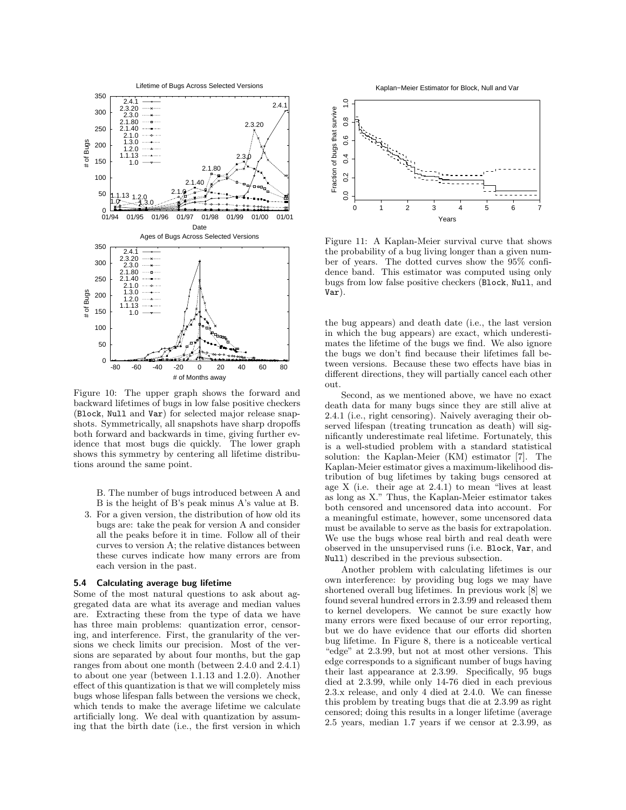

Figure 10: The upper graph shows the forward and backward lifetimes of bugs in low false positive checkers (Block, Null and Var) for selected major release snapshots. Symmetrically, all snapshots have sharp dropoffs both forward and backwards in time, giving further evidence that most bugs die quickly. The lower graph shows this symmetry by centering all lifetime distributions around the same point.

B. The number of bugs introduced between A and B is the height of B's peak minus A's value at B.

3. For a given version, the distribution of how old its bugs are: take the peak for version A and consider all the peaks before it in time. Follow all of their curves to version A; the relative distances between these curves indicate how many errors are from each version in the past.

## 5.4 Calculating average bug lifetime

Some of the most natural questions to ask about aggregated data are what its average and median values are. Extracting these from the type of data we have has three main problems: quantization error, censoring, and interference. First, the granularity of the versions we check limits our precision. Most of the versions are separated by about four months, but the gap ranges from about one month (between 2.4.0 and 2.4.1) to about one year (between 1.1.13 and 1.2.0). Another effect of this quantization is that we will completely miss bugs whose lifespan falls between the versions we check, which tends to make the average lifetime we calculate artificially long. We deal with quantization by assuming that the birth date (i.e., the first version in which



Figure 11: A Kaplan-Meier survival curve that shows the probability of a bug living longer than a given number of years. The dotted curves show the 95% confidence band. This estimator was computed using only bugs from low false positive checkers (Block, Null, and Var).

the bug appears) and death date (i.e., the last version in which the bug appears) are exact, which underestimates the lifetime of the bugs we find. We also ignore the bugs we don't find because their lifetimes fall between versions. Because these two effects have bias in different directions, they will partially cancel each other out.

Second, as we mentioned above, we have no exact death data for many bugs since they are still alive at 2.4.1 (i.e., right censoring). Naively averaging their observed lifespan (treating truncation as death) will significantly underestimate real lifetime. Fortunately, this is a well-studied problem with a standard statistical solution: the Kaplan-Meier (KM) estimator [7]. The Kaplan-Meier estimator gives a maximum-likelihood distribution of bug lifetimes by taking bugs censored at age X (i.e. their age at 2.4.1) to mean "lives at least as long as X." Thus, the Kaplan-Meier estimator takes both censored and uncensored data into account. For a meaningful estimate, however, some uncensored data must be available to serve as the basis for extrapolation. We use the bugs whose real birth and real death were observed in the unsupervised runs (i.e. Block, Var, and Null) described in the previous subsection.

Another problem with calculating lifetimes is our own interference: by providing bug logs we may have shortened overall bug lifetimes. In previous work [8] we found several hundred errors in 2.3.99 and released them to kernel developers. We cannot be sure exactly how many errors were fixed because of our error reporting, but we do have evidence that our efforts did shorten bug lifetime. In Figure 8, there is a noticeable vertical "edge" at 2.3.99, but not at most other versions. This edge corresponds to a significant number of bugs having their last appearance at 2.3.99. Specifically, 95 bugs died at 2.3.99, while only 14-76 died in each previous 2.3.x release, and only 4 died at 2.4.0. We can finesse this problem by treating bugs that die at 2.3.99 as right censored; doing this results in a longer lifetime (average 2.5 years, median 1.7 years if we censor at 2.3.99, as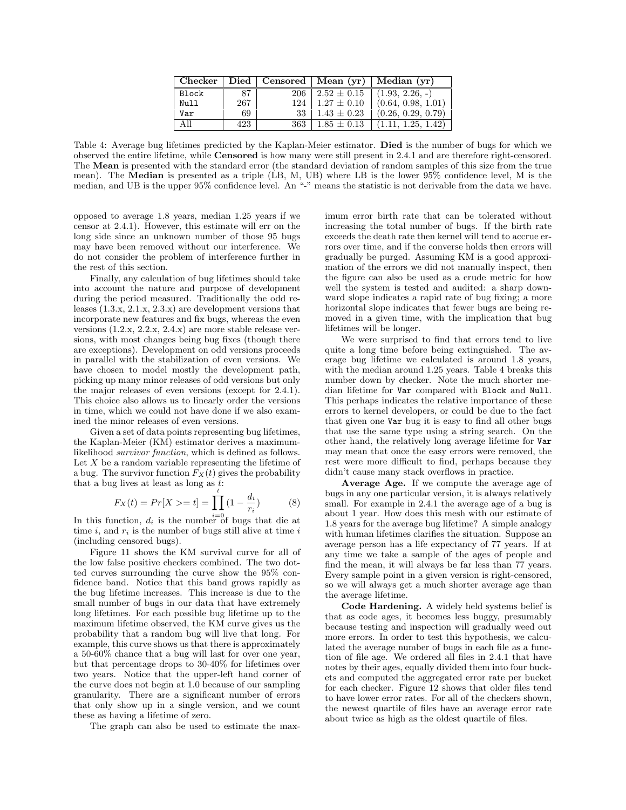| <b>Checker</b> |     |     |                 | Died   Censored   Mean $(vr)$   Median $(vr)$ |
|----------------|-----|-----|-----------------|-----------------------------------------------|
| <b>Block</b>   | 87  | 206 | $2.52 \pm 0.15$ | $(1.93, 2.26, -)$                             |
| Null           | 267 | 124 | $1.27 \pm 0.10$ | (0.64, 0.98, 1.01)                            |
| Var            | 69  | 33  | $1.43 \pm 0.23$ | (0.26, 0.29, 0.79)                            |
|                | 423 | 363 | $1.85 \pm 0.13$ | (1.11, 1.25, 1.42)                            |

Table 4: Average bug lifetimes predicted by the Kaplan-Meier estimator. Died is the number of bugs for which we observed the entire lifetime, while Censored is how many were still present in 2.4.1 and are therefore right-censored. The Mean is presented with the standard error (the standard deviation of random samples of this size from the true mean). The Median is presented as a triple (LB, M, UB) where LB is the lower 95% confidence level, M is the median, and UB is the upper 95% confidence level. An "-" means the statistic is not derivable from the data we have.

opposed to average 1.8 years, median 1.25 years if we censor at 2.4.1). However, this estimate will err on the long side since an unknown number of those 95 bugs may have been removed without our interference. We do not consider the problem of interference further in the rest of this section.

Finally, any calculation of bug lifetimes should take into account the nature and purpose of development during the period measured. Traditionally the odd releases (1.3.x, 2.1.x, 2.3.x) are development versions that incorporate new features and fix bugs, whereas the even versions (1.2.x, 2.2.x, 2.4.x) are more stable release versions, with most changes being bug fixes (though there are exceptions). Development on odd versions proceeds in parallel with the stabilization of even versions. We have chosen to model mostly the development path, picking up many minor releases of odd versions but only the major releases of even versions (except for 2.4.1). This choice also allows us to linearly order the versions in time, which we could not have done if we also examined the minor releases of even versions.

Given a set of data points representing bug lifetimes, the Kaplan-Meier (KM) estimator derives a maximumlikelihood survivor function, which is defined as follows. Let  $X$  be a random variable representing the lifetime of a bug. The survivor function  $F_X(t)$  gives the probability that a bug lives at least as long as  $t$ .

$$
F_X(t) = Pr[X \gt t] = \prod_{i=0}^{t} (1 - \frac{d_i}{r_i})
$$
 (8)

In this function,  $d_i$  is the number of bugs that die at time i, and  $r_i$  is the number of bugs still alive at time i (including censored bugs).

Figure 11 shows the KM survival curve for all of the low false positive checkers combined. The two dotted curves surrounding the curve show the 95% confidence band. Notice that this band grows rapidly as the bug lifetime increases. This increase is due to the small number of bugs in our data that have extremely long lifetimes. For each possible bug lifetime up to the maximum lifetime observed, the KM curve gives us the probability that a random bug will live that long. For example, this curve shows us that there is approximately a 50-60% chance that a bug will last for over one year, but that percentage drops to 30-40% for lifetimes over two years. Notice that the upper-left hand corner of the curve does not begin at 1.0 because of our sampling granularity. There are a significant number of errors that only show up in a single version, and we count these as having a lifetime of zero.

The graph can also be used to estimate the max-

imum error birth rate that can be tolerated without increasing the total number of bugs. If the birth rate exceeds the death rate then kernel will tend to accrue errors over time, and if the converse holds then errors will gradually be purged. Assuming KM is a good approximation of the errors we did not manually inspect, then the figure can also be used as a crude metric for how well the system is tested and audited: a sharp downward slope indicates a rapid rate of bug fixing; a more horizontal slope indicates that fewer bugs are being removed in a given time, with the implication that bug lifetimes will be longer.

We were surprised to find that errors tend to live quite a long time before being extinguished. The average bug lifetime we calculated is around 1.8 years, with the median around 1.25 years. Table 4 breaks this number down by checker. Note the much shorter median lifetime for Var compared with Block and Null. This perhaps indicates the relative importance of these errors to kernel developers, or could be due to the fact that given one Var bug it is easy to find all other bugs that use the same type using a string search. On the other hand, the relatively long average lifetime for Var may mean that once the easy errors were removed, the rest were more difficult to find, perhaps because they didn't cause many stack overflows in practice.

Average Age. If we compute the average age of bugs in any one particular version, it is always relatively small. For example in 2.4.1 the average age of a bug is about 1 year. How does this mesh with our estimate of 1.8 years for the average bug lifetime? A simple analogy with human lifetimes clarifies the situation. Suppose an average person has a life expectancy of 77 years. If at any time we take a sample of the ages of people and find the mean, it will always be far less than 77 years. Every sample point in a given version is right-censored, so we will always get a much shorter average age than the average lifetime.

Code Hardening. A widely held systems belief is that as code ages, it becomes less buggy, presumably because testing and inspection will gradually weed out more errors. In order to test this hypothesis, we calculated the average number of bugs in each file as a function of file age. We ordered all files in 2.4.1 that have notes by their ages, equally divided them into four buckets and computed the aggregated error rate per bucket for each checker. Figure 12 shows that older files tend to have lower error rates. For all of the checkers shown, the newest quartile of files have an average error rate about twice as high as the oldest quartile of files.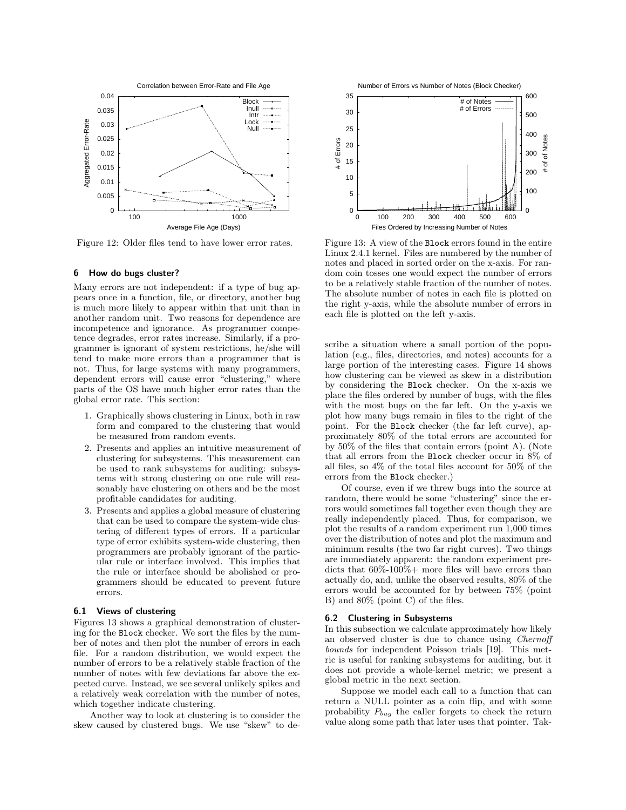

Figure 12: Older files tend to have lower error rates.

## 6 How do bugs cluster?

Many errors are not independent: if a type of bug appears once in a function, file, or directory, another bug is much more likely to appear within that unit than in another random unit. Two reasons for dependence are incompetence and ignorance. As programmer competence degrades, error rates increase. Similarly, if a programmer is ignorant of system restrictions, he/she will tend to make more errors than a programmer that is not. Thus, for large systems with many programmers, dependent errors will cause error "clustering," where parts of the OS have much higher error rates than the global error rate. This section:

- 1. Graphically shows clustering in Linux, both in raw form and compared to the clustering that would be measured from random events.
- 2. Presents and applies an intuitive measurement of clustering for subsystems. This measurement can be used to rank subsystems for auditing: subsystems with strong clustering on one rule will reasonably have clustering on others and be the most profitable candidates for auditing.
- 3. Presents and applies a global measure of clustering that can be used to compare the system-wide clustering of different types of errors. If a particular type of error exhibits system-wide clustering, then programmers are probably ignorant of the particular rule or interface involved. This implies that the rule or interface should be abolished or programmers should be educated to prevent future errors.

# 6.1 Views of clustering

Figures 13 shows a graphical demonstration of clustering for the Block checker. We sort the files by the number of notes and then plot the number of errors in each file. For a random distribution, we would expect the number of errors to be a relatively stable fraction of the number of notes with few deviations far above the expected curve. Instead, we see several unlikely spikes and a relatively weak correlation with the number of notes, which together indicate clustering.

Another way to look at clustering is to consider the skew caused by clustered bugs. We use "skew" to de-





Figure 13: A view of the Block errors found in the entire Linux 2.4.1 kernel. Files are numbered by the number of notes and placed in sorted order on the x-axis. For random coin tosses one would expect the number of errors to be a relatively stable fraction of the number of notes. The absolute number of notes in each file is plotted on the right y-axis, while the absolute number of errors in each file is plotted on the left y-axis.

scribe a situation where a small portion of the population (e.g., files, directories, and notes) accounts for a large portion of the interesting cases. Figure 14 shows how clustering can be viewed as skew in a distribution by considering the Block checker. On the x-axis we place the files ordered by number of bugs, with the files with the most bugs on the far left. On the y-axis we plot how many bugs remain in files to the right of the point. For the Block checker (the far left curve), approximately 80% of the total errors are accounted for by 50% of the files that contain errors (point A). (Note that all errors from the Block checker occur in 8% of all files, so 4% of the total files account for 50% of the errors from the Block checker.)

Of course, even if we threw bugs into the source at random, there would be some "clustering" since the errors would sometimes fall together even though they are really independently placed. Thus, for comparison, we plot the results of a random experiment run 1,000 times over the distribution of notes and plot the maximum and minimum results (the two far right curves). Two things are immediately apparent: the random experiment predicts that 60%-100%+ more files will have errors than actually do, and, unlike the observed results, 80% of the errors would be accounted for by between 75% (point B) and 80% (point C) of the files.

#### 6.2 Clustering in Subsystems

In this subsection we calculate approximately how likely an observed cluster is due to chance using Chernoff bounds for independent Poisson trials [19]. This metric is useful for ranking subsystems for auditing, but it does not provide a whole-kernel metric; we present a global metric in the next section.

Suppose we model each call to a function that can return a NULL pointer as a coin flip, and with some probability  $P_{bug}$  the caller forgets to check the return value along some path that later uses that pointer. Tak-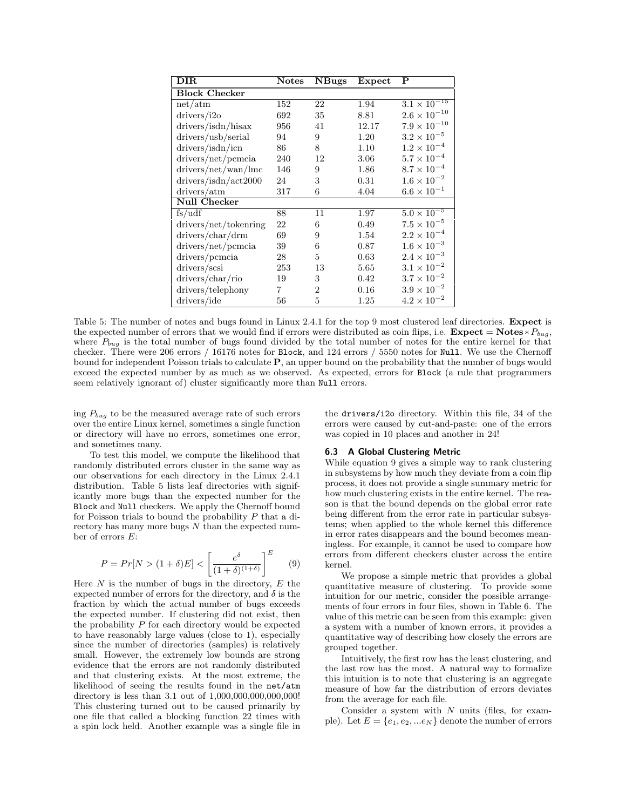| $\overline{\rm DIR}$  | <b>Notes</b> | <b>NBugs</b>   | Expect | $\overline{\mathbf{P}}$          |
|-----------------------|--------------|----------------|--------|----------------------------------|
| <b>Block Checker</b>  |              |                |        |                                  |
| net/atm               | 152          | 22             | 1.94   | $3.\overline{1 \times 10^{-15}}$ |
| drivers/i2o           | 692          | 35             | 8.81   | $2.6 \times 10^{-10}$            |
| drivers/isdn/hisax    | 956          | 41             | 12.17  | $7.9 \times 10^{-10}$            |
| drivers/usb/serial    | 94           | 9              | 1.20   | $3.2\times10^{-5}$               |
| drivers/isdn/icn      | 86           | 8              | 1.10   | $1.2 \times 10^{-4}$             |
| drivers/net/pcmcia    | 240          | 12             | 3.06   | $5.7 \times 10^{-4}$             |
| drivers/net/wan/lmc   | 146          | 9              | 1.86   | $8.7 \times 10^{-4}$             |
| drivers/isdn/act2000  | 24           | 3              | 0.31   | $1.6 \times 10^{-2}$             |
| drivers/atm           | 317          | 6              | 4.04   | $6.6 \times 10^{-1}$             |
| <b>Null Checker</b>   |              |                |        |                                  |
| fs/udf                | 88           | 11             | 1.97   | $5.0 \times \overline{10^{-5}}$  |
| drivers/net/tokenring | 22           | 6              | 0.49   | $7.5 \times 10^{-5}$             |
| drivers/char/drm      | 69           | 9              | 1.54   | $2.2 \times 10^{-4}$             |
| drivers/net/pcmcia    | 39           | 6              | 0.87   | $1.6 \times 10^{-3}$             |
| drivers/pcmcia        | 28           | 5              | 0.63   | $2.4 \times 10^{-3}$             |
| drivers/scsi          | 253          | 13             | 5.65   | $3.1 \times 10^{-2}$             |
| drivers/char/rio      | 19           | 3              | 0.42   | $3.7 \times 10^{-2}$             |
| drivers/telephony     | 7            | $\overline{2}$ | 0.16   | $3.9 \times 10^{-2}$             |
| drivers/ide           | 56           | 5              | 1.25   | $4.2 \times 10^{-2}$             |

Table 5: The number of notes and bugs found in Linux 2.4.1 for the top 9 most clustered leaf directories. Expect is the expected number of errors that we would find if errors were distributed as coin flips, i.e.  $\textbf{Expected} = \textbf{Notes} * P_{bug}$ , where  $P_{bug}$  is the total number of bugs found divided by the total number of notes for the entire kernel for that checker. There were 206 errors / 16176 notes for Block, and 124 errors / 5550 notes for Null. We use the Chernoff bound for independent Poisson trials to calculate P, an upper bound on the probability that the number of bugs would exceed the expected number by as much as we observed. As expected, errors for Block (a rule that programmers seem relatively ignorant of) cluster significantly more than Null errors.

ing  $P_{bug}$  to be the measured average rate of such errors over the entire Linux kernel, sometimes a single function or directory will have no errors, sometimes one error, and sometimes many.

To test this model, we compute the likelihood that randomly distributed errors cluster in the same way as our observations for each directory in the Linux 2.4.1 distribution. Table 5 lists leaf directories with significantly more bugs than the expected number for the Block and Null checkers. We apply the Chernoff bound for Poisson trials to bound the probability  $P$  that a directory has many more bugs  $N$  than the expected number of errors E:

$$
P = Pr[N > (1 + \delta)E] < \left[\frac{e^{\delta}}{(1 + \delta)^{(1 + \delta)}}\right]^E \tag{9}
$$

Here  $N$  is the number of bugs in the directory,  $E$  the expected number of errors for the directory, and  $\delta$  is the fraction by which the actual number of bugs exceeds the expected number. If clustering did not exist, then the probability  $P$  for each directory would be expected to have reasonably large values (close to 1), especially since the number of directories (samples) is relatively small. However, the extremely low bounds are strong evidence that the errors are not randomly distributed and that clustering exists. At the most extreme, the likelihood of seeing the results found in the net/atm directory is less than 3.1 out of 1,000,000,000,000,000! This clustering turned out to be caused primarily by one file that called a blocking function 22 times with a spin lock held. Another example was a single file in the drivers/i2o directory. Within this file, 34 of the errors were caused by cut-and-paste: one of the errors was copied in 10 places and another in 24!

## 6.3 A Global Clustering Metric

While equation 9 gives a simple way to rank clustering in subsystems by how much they deviate from a coin flip process, it does not provide a single summary metric for how much clustering exists in the entire kernel. The reason is that the bound depends on the global error rate being different from the error rate in particular subsystems; when applied to the whole kernel this difference in error rates disappears and the bound becomes meaningless. For example, it cannot be used to compare how errors from different checkers cluster across the entire kernel.

We propose a simple metric that provides a global quantitative measure of clustering. To provide some intuition for our metric, consider the possible arrangements of four errors in four files, shown in Table 6. The value of this metric can be seen from this example: given a system with a number of known errors, it provides a quantitative way of describing how closely the errors are grouped together.

Intuitively, the first row has the least clustering, and the last row has the most. A natural way to formalize this intuition is to note that clustering is an aggregate measure of how far the distribution of errors deviates from the average for each file.

Consider a system with  $N$  units (files, for example). Let  $E = \{e_1, e_2, ... e_N\}$  denote the number of errors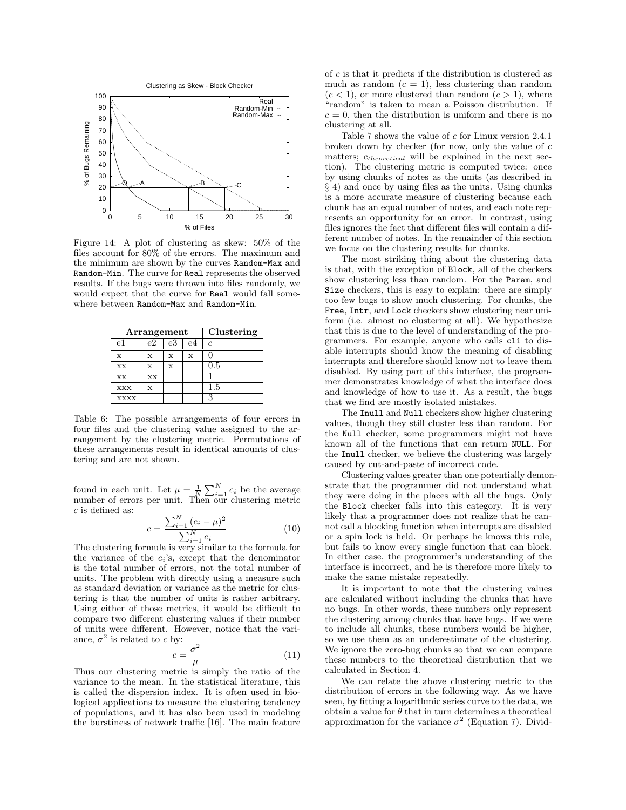

Figure 14: A plot of clustering as skew: 50% of the files account for 80% of the errors. The maximum and the minimum are shown by the curves Random-Max and Random-Min. The curve for Real represents the observed results. If the bugs were thrown into files randomly, we would expect that the curve for Real would fall somewhere between Random-Max and Random-Min.

|             | Arrangement | Clustering |    |     |
|-------------|-------------|------------|----|-----|
| e1          | е2          | e3         | e4 | c   |
| X           | X           | X          | x  |     |
| XX          | x           | X          |    | 0.5 |
| XX          | XX          |            |    |     |
| <b>XXX</b>  | x           |            |    | 1.5 |
| <b>XXXX</b> |             |            |    | S   |

Table 6: The possible arrangements of four errors in four files and the clustering value assigned to the arrangement by the clustering metric. Permutations of these arrangements result in identical amounts of clustering and are not shown.

found in each unit. Let  $\mu = \frac{1}{N} \sum_{i=1}^{N} e_i$  be the average number of errors per unit. Then our clustering metric c is defined as:

$$
c = \frac{\sum_{i=1}^{N} (e_i - \mu)^2}{\sum_{i=1}^{N} e_i}
$$
 (10)

The clustering formula is very similar to the formula for the variance of the  $e_i$ 's, except that the denominator is the total number of errors, not the total number of units. The problem with directly using a measure such as standard deviation or variance as the metric for clustering is that the number of units is rather arbitrary. Using either of those metrics, it would be difficult to compare two different clustering values if their number of units were different. However, notice that the variance,  $\sigma^2$  is related to c by:

$$
c = \frac{\sigma^2}{\mu} \tag{11}
$$

Thus our clustering metric is simply the ratio of the variance to the mean. In the statistical literature, this is called the dispersion index. It is often used in biological applications to measure the clustering tendency of populations, and it has also been used in modeling the burstiness of network traffic [16]. The main feature

of  $c$  is that it predicts if the distribution is clustered as much as random  $(c = 1)$ , less clustering than random  $(c < 1)$ , or more clustered than random  $(c > 1)$ , where "random" is taken to mean a Poisson distribution. If  $c = 0$ , then the distribution is uniform and there is no clustering at all.

Table 7 shows the value of c for Linux version 2.4.1 broken down by checker (for now, only the value of c matters;  $c_{theoretical}$  will be explained in the next section). The clustering metric is computed twice: once by using chunks of notes as the units (as described in § 4) and once by using files as the units. Using chunks is a more accurate measure of clustering because each chunk has an equal number of notes, and each note represents an opportunity for an error. In contrast, using files ignores the fact that different files will contain a different number of notes. In the remainder of this section we focus on the clustering results for chunks.

The most striking thing about the clustering data is that, with the exception of Block, all of the checkers show clustering less than random. For the Param, and Size checkers, this is easy to explain: there are simply too few bugs to show much clustering. For chunks, the Free, Intr, and Lock checkers show clustering near uniform (i.e. almost no clustering at all). We hypothesize that this is due to the level of understanding of the programmers. For example, anyone who calls cli to disable interrupts should know the meaning of disabling interrupts and therefore should know not to leave them disabled. By using part of this interface, the programmer demonstrates knowledge of what the interface does and knowledge of how to use it. As a result, the bugs that we find are mostly isolated mistakes.

The Inull and Null checkers show higher clustering values, though they still cluster less than random. For the Null checker, some programmers might not have known all of the functions that can return NULL. For the Inull checker, we believe the clustering was largely caused by cut-and-paste of incorrect code.

Clustering values greater than one potentially demonstrate that the programmer did not understand what they were doing in the places with all the bugs. Only the Block checker falls into this category. It is very likely that a programmer does not realize that he cannot call a blocking function when interrupts are disabled or a spin lock is held. Or perhaps he knows this rule, but fails to know every single function that can block. In either case, the programmer's understanding of the interface is incorrect, and he is therefore more likely to make the same mistake repeatedly.

It is important to note that the clustering values are calculated without including the chunks that have no bugs. In other words, these numbers only represent the clustering among chunks that have bugs. If we were to include all chunks, these numbers would be higher, so we use them as an underestimate of the clustering. We ignore the zero-bug chunks so that we can compare these numbers to the theoretical distribution that we calculated in Section 4.

We can relate the above clustering metric to the distribution of errors in the following way. As we have seen, by fitting a logarithmic series curve to the data, we obtain a value for  $\theta$  that in turn determines a theoretical approximation for the variance  $\sigma^2$  (Equation 7). Divid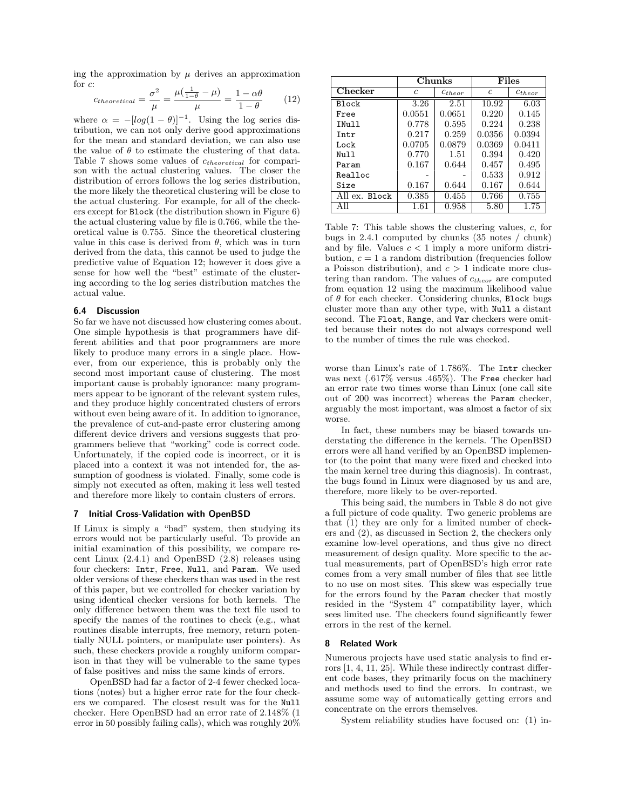ing the approximation by  $\mu$  derives an approximation for c:  $\alpha$ 

$$
c_{theoretical} = \frac{\sigma^2}{\mu} = \frac{\mu(\frac{1}{1-\theta} - \mu)}{\mu} = \frac{1 - \alpha\theta}{1 - \theta} \tag{12}
$$

where  $\alpha = -[\log(1 - \theta)]^{-1}$ . Using the log series distribution, we can not only derive good approximations for the mean and standard deviation, we can also use the value of  $\theta$  to estimate the clustering of that data. Table 7 shows some values of  $c_{theoretical}$  for comparison with the actual clustering values. The closer the distribution of errors follows the log series distribution, the more likely the theoretical clustering will be close to the actual clustering. For example, for all of the checkers except for Block (the distribution shown in Figure 6) the actual clustering value by file is 0.766, while the theoretical value is 0.755. Since the theoretical clustering value in this case is derived from  $\theta$ , which was in turn derived from the data, this cannot be used to judge the predictive value of Equation 12; however it does give a sense for how well the "best" estimate of the clustering according to the log series distribution matches the actual value.

## 6.4 Discussion

So far we have not discussed how clustering comes about. One simple hypothesis is that programmers have different abilities and that poor programmers are more likely to produce many errors in a single place. However, from our experience, this is probably only the second most important cause of clustering. The most important cause is probably ignorance: many programmers appear to be ignorant of the relevant system rules, and they produce highly concentrated clusters of errors without even being aware of it. In addition to ignorance, the prevalence of cut-and-paste error clustering among different device drivers and versions suggests that programmers believe that "working" code is correct code. Unfortunately, if the copied code is incorrect, or it is placed into a context it was not intended for, the assumption of goodness is violated. Finally, some code is simply not executed as often, making it less well tested and therefore more likely to contain clusters of errors.

# 7 Initial Cross-Validation with OpenBSD

If Linux is simply a "bad" system, then studying its errors would not be particularly useful. To provide an initial examination of this possibility, we compare recent Linux (2.4.1) and OpenBSD (2.8) releases using four checkers: Intr, Free, Null, and Param. We used older versions of these checkers than was used in the rest of this paper, but we controlled for checker variation by using identical checker versions for both kernels. The only difference between them was the text file used to specify the names of the routines to check (e.g., what routines disable interrupts, free memory, return potentially NULL pointers, or manipulate user pointers). As such, these checkers provide a roughly uniform comparison in that they will be vulnerable to the same types of false positives and miss the same kinds of errors.

OpenBSD had far a factor of 2-4 fewer checked locations (notes) but a higher error rate for the four checkers we compared. The closest result was for the Null checker. Here OpenBSD had an error rate of 2.148% (1 error in 50 possibly failing calls), which was roughly 20%

|               |        | Chunks      |        | Files       |  |
|---------------|--------|-------------|--------|-------------|--|
| Checker       | C      | $c_{theor}$ |        | $c_{theor}$ |  |
| <b>Block</b>  | 3.26   | 2.51        | 10.92  | 6.03        |  |
| Free          | 0.0551 | 0.0651      | 0.220  | 0.145       |  |
| INull         | 0.778  | 0.595       | 0.224  | 0.238       |  |
| Tntr          | 0.217  | 0.259       | 0.0356 | 0.0394      |  |
| Lock          | 0.0705 | 0.0879      | 0.0369 | 0.0411      |  |
| N11 1 1       | 0.770  | 1.51        | 0.394  | 0.420       |  |
| Param         | 0.167  | 0.644       | 0.457  | 0.495       |  |
| Realloc       |        |             | 0.533  | 0.912       |  |
| Size          | 0.167  | 0.644       | 0.167  | 0.644       |  |
| All ex. Block | 0.385  | 0.455       | 0.766  | 0.755       |  |
| Αll           | 1.61   | 0.958       | 5.80   | 1.75        |  |

Table 7: This table shows the clustering values, c, for bugs in 2.4.1 computed by chunks (35 notes / chunk) and by file. Values  $c < 1$  imply a more uniform distribution,  $c = 1$  a random distribution (frequencies follow a Poisson distribution), and  $c > 1$  indicate more clustering than random. The values of  $c_{theor}$  are computed from equation 12 using the maximum likelihood value of  $\theta$  for each checker. Considering chunks, Block bugs cluster more than any other type, with Null a distant second. The Float, Range, and Var checkers were omitted because their notes do not always correspond well to the number of times the rule was checked.

worse than Linux's rate of 1.786%. The Intr checker was next (.617% versus .465%). The Free checker had an error rate two times worse than Linux (one call site out of 200 was incorrect) whereas the Param checker, arguably the most important, was almost a factor of six worse.

In fact, these numbers may be biased towards understating the difference in the kernels. The OpenBSD errors were all hand verified by an OpenBSD implementor (to the point that many were fixed and checked into the main kernel tree during this diagnosis). In contrast, the bugs found in Linux were diagnosed by us and are, therefore, more likely to be over-reported.

This being said, the numbers in Table 8 do not give a full picture of code quality. Two generic problems are that (1) they are only for a limited number of checkers and (2), as discussed in Section 2, the checkers only examine low-level operations, and thus give no direct measurement of design quality. More specific to the actual measurements, part of OpenBSD's high error rate comes from a very small number of files that see little to no use on most sites. This skew was especially true for the errors found by the Param checker that mostly resided in the "System 4" compatibility layer, which sees limited use. The checkers found significantly fewer errors in the rest of the kernel.

# 8 Related Work

Numerous projects have used static analysis to find errors [1, 4, 11, 25]. While these indirectly contrast different code bases, they primarily focus on the machinery and methods used to find the errors. In contrast, we assume some way of automatically getting errors and concentrate on the errors themselves.

System reliability studies have focused on: (1) in-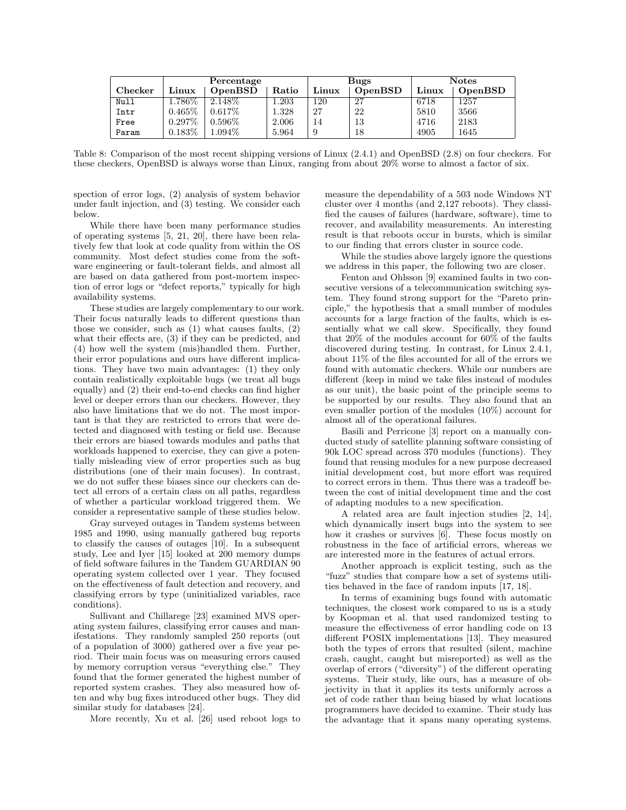|                | Percentage |           |       | <b>Bugs</b> |         | <b>Notes</b> |         |
|----------------|------------|-----------|-------|-------------|---------|--------------|---------|
| <b>Checker</b> | Linux      | OpenBSD   | Ratio | Linux       | OpenBSD | Linux        | OpenBSD |
| Null           | $1.786\%$  | $2.148\%$ | .203  | 120         | 27      | 6718         | 1257    |
| Intr           | $0.465\%$  | $0.617\%$ | 1.328 | 27          | 22      | 5810         | 3566    |
| Free           | $0.297\%$  | $0.596\%$ | 2.006 | 14          | 13      | 4716         | 2183    |
| Param          | $0.183\%$  | $1.094\%$ | 5.964 | 9           | 18      | 4905         | 1645    |

Table 8: Comparison of the most recent shipping versions of Linux (2.4.1) and OpenBSD (2.8) on four checkers. For these checkers, OpenBSD is always worse than Linux, ranging from about 20% worse to almost a factor of six.

spection of error logs, (2) analysis of system behavior under fault injection, and (3) testing. We consider each below.

While there have been many performance studies of operating systems [5, 21, 20], there have been relatively few that look at code quality from within the OS community. Most defect studies come from the software engineering or fault-tolerant fields, and almost all are based on data gathered from post-mortem inspection of error logs or "defect reports," typically for high availability systems.

These studies are largely complementary to our work. Their focus naturally leads to different questions than those we consider, such as (1) what causes faults, (2) what their effects are, (3) if they can be predicted, and (4) how well the system (mis)handled them. Further, their error populations and ours have different implications. They have two main advantages: (1) they only contain realistically exploitable bugs (we treat all bugs equally) and (2) their end-to-end checks can find higher level or deeper errors than our checkers. However, they also have limitations that we do not. The most important is that they are restricted to errors that were detected and diagnosed with testing or field use. Because their errors are biased towards modules and paths that workloads happened to exercise, they can give a potentially misleading view of error properties such as bug distributions (one of their main focuses). In contrast, we do not suffer these biases since our checkers can detect all errors of a certain class on all paths, regardless of whether a particular workload triggered them. We consider a representative sample of these studies below.

Gray surveyed outages in Tandem systems between 1985 and 1990, using manually gathered bug reports to classify the causes of outages [10]. In a subsequent study, Lee and Iyer [15] looked at 200 memory dumps of field software failures in the Tandem GUARDIAN 90 operating system collected over 1 year. They focused on the effectiveness of fault detection and recovery, and classifying errors by type (uninitialized variables, race conditions).

Sullivant and Chillarege [23] examined MVS operating system failures, classifying error causes and manifestations. They randomly sampled 250 reports (out of a population of 3000) gathered over a five year period. Their main focus was on measuring errors caused by memory corruption versus "everything else." They found that the former generated the highest number of reported system crashes. They also measured how often and why bug fixes introduced other bugs. They did similar study for databases [24].

More recently, Xu et al. [26] used reboot logs to

measure the dependability of a 503 node Windows NT cluster over 4 months (and 2,127 reboots). They classified the causes of failures (hardware, software), time to recover, and availability measurements. An interesting result is that reboots occur in bursts, which is similar to our finding that errors cluster in source code.

While the studies above largely ignore the questions we address in this paper, the following two are closer.

Fenton and Ohlsson [9] examined faults in two consecutive versions of a telecommunication switching system. They found strong support for the "Pareto principle," the hypothesis that a small number of modules accounts for a large fraction of the faults, which is essentially what we call skew. Specifically, they found that 20% of the modules account for 60% of the faults discovered during testing. In contrast, for Linux 2.4.1, about 11% of the files accounted for all of the errors we found with automatic checkers. While our numbers are different (keep in mind we take files instead of modules as our unit), the basic point of the principle seems to be supported by our results. They also found that an even smaller portion of the modules (10%) account for almost all of the operational failures.

Basili and Perricone [3] report on a manually conducted study of satellite planning software consisting of 90k LOC spread across 370 modules (functions). They found that reusing modules for a new purpose decreased initial development cost, but more effort was required to correct errors in them. Thus there was a tradeoff between the cost of initial development time and the cost of adapting modules to a new specification.

A related area are fault injection studies [2, 14], which dynamically insert bugs into the system to see how it crashes or survives [6]. These focus mostly on robustness in the face of artificial errors, whereas we are interested more in the features of actual errors.

Another approach is explicit testing, such as the "fuzz" studies that compare how a set of systems utilities behaved in the face of random inputs [17, 18].

In terms of examining bugs found with automatic techniques, the closest work compared to us is a study by Koopman et al. that used randomized testing to measure the effectiveness of error handling code on 13 different POSIX implementations [13]. They measured both the types of errors that resulted (silent, machine crash, caught, caught but misreported) as well as the overlap of errors ("diversity") of the different operating systems. Their study, like ours, has a measure of objectivity in that it applies its tests uniformly across a set of code rather than being biased by what locations programmers have decided to examine. Their study has the advantage that it spans many operating systems.